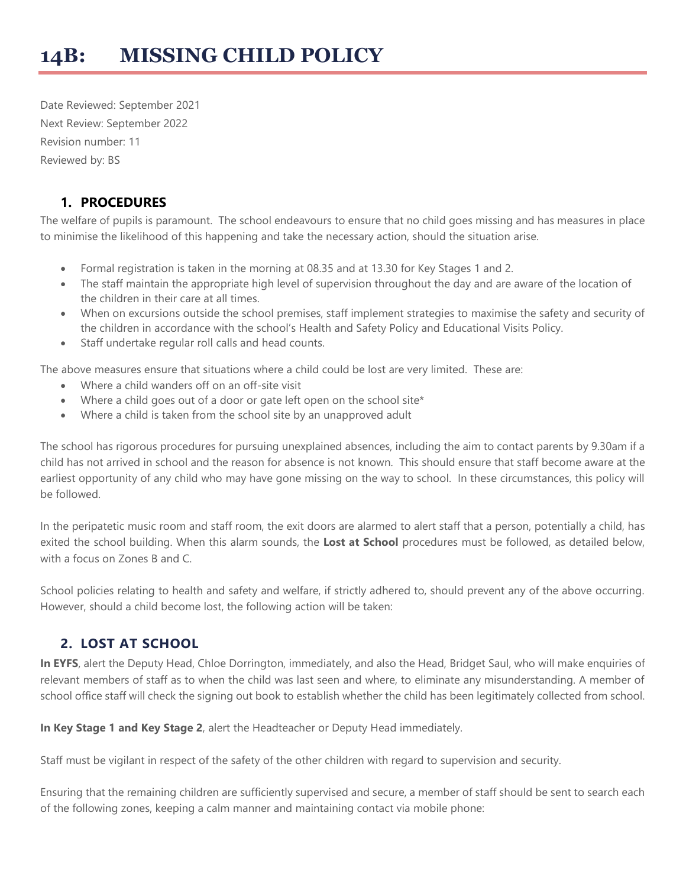# **14B: MISSING CHILD POLICY**

Date Reviewed: September 2021 Next Review: September 2022 Revision number: 11 Reviewed by: BS

#### **1. PROCEDURES**

The welfare of pupils is paramount. The school endeavours to ensure that no child goes missing and has measures in place to minimise the likelihood of this happening and take the necessary action, should the situation arise.

- Formal registration is taken in the morning at 08.35 and at 13.30 for Key Stages 1 and 2.
- The staff maintain the appropriate high level of supervision throughout the day and are aware of the location of the children in their care at all times.
- When on excursions outside the school premises, staff implement strategies to maximise the safety and security of the children in accordance with the school's Health and Safety Policy and Educational Visits Policy.
- Staff undertake regular roll calls and head counts.

The above measures ensure that situations where a child could be lost are very limited. These are:

- Where a child wanders off on an off-site visit
- Where a child goes out of a door or gate left open on the school site\*
- Where a child is taken from the school site by an unapproved adult

The school has rigorous procedures for pursuing unexplained absences, including the aim to contact parents by 9.30am if a child has not arrived in school and the reason for absence is not known. This should ensure that staff become aware at the earliest opportunity of any child who may have gone missing on the way to school. In these circumstances, this policy will be followed.

In the peripatetic music room and staff room, the exit doors are alarmed to alert staff that a person, potentially a child, has exited the school building. When this alarm sounds, the **Lost at School** procedures must be followed, as detailed below, with a focus on Zones B and C.

School policies relating to health and safety and welfare, if strictly adhered to, should prevent any of the above occurring. However, should a child become lost, the following action will be taken:

#### **2. LOST AT SCHOOL**

**In EYFS**, alert the Deputy Head, Chloe Dorrington, immediately, and also the Head, Bridget Saul, who will make enquiries of relevant members of staff as to when the child was last seen and where, to eliminate any misunderstanding. A member of school office staff will check the signing out book to establish whether the child has been legitimately collected from school.

**In Key Stage 1 and Key Stage 2**, alert the Headteacher or Deputy Head immediately.

Staff must be vigilant in respect of the safety of the other children with regard to supervision and security.

Ensuring that the remaining children are sufficiently supervised and secure, a member of staff should be sent to search each of the following zones, keeping a calm manner and maintaining contact via mobile phone: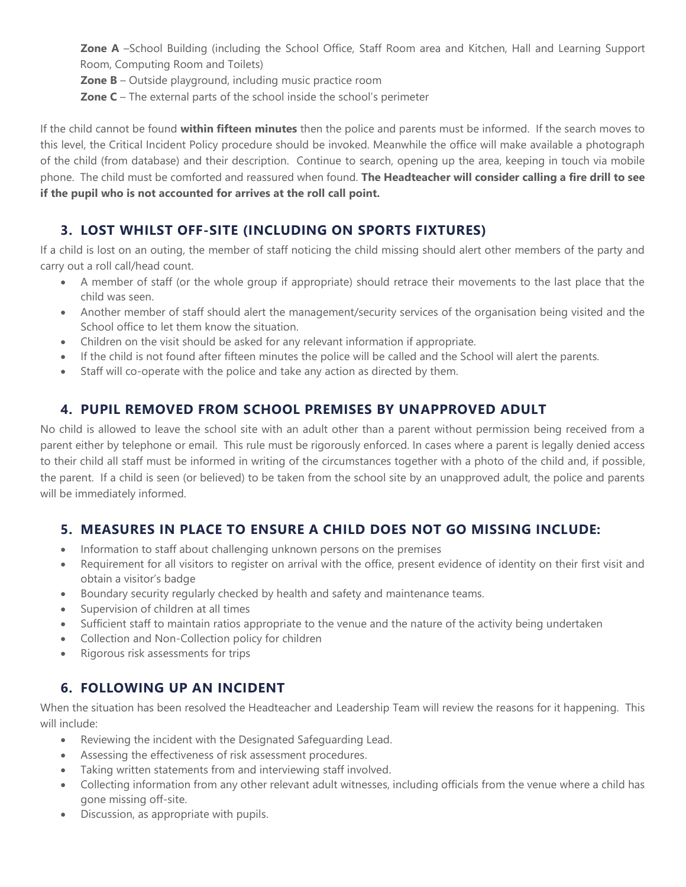**Zone A** –School Building (including the School Office, Staff Room area and Kitchen, Hall and Learning Support Room, Computing Room and Toilets)

**Zone B** – Outside playground, including music practice room

**Zone C** – The external parts of the school inside the school's perimeter

If the child cannot be found **within fifteen minutes** then the police and parents must be informed. If the search moves to this level, the Critical Incident Policy procedure should be invoked. Meanwhile the office will make available a photograph of the child (from database) and their description. Continue to search, opening up the area, keeping in touch via mobile phone. The child must be comforted and reassured when found. **The Headteacher will consider calling a fire drill to see if the pupil who is not accounted for arrives at the roll call point.**

## **3. LOST WHILST OFF-SITE (INCLUDING ON SPORTS FIXTURES)**

If a child is lost on an outing, the member of staff noticing the child missing should alert other members of the party and carry out a roll call/head count.

- A member of staff (or the whole group if appropriate) should retrace their movements to the last place that the child was seen.
- Another member of staff should alert the management/security services of the organisation being visited and the School office to let them know the situation.
- Children on the visit should be asked for any relevant information if appropriate.
- If the child is not found after fifteen minutes the police will be called and the School will alert the parents.
- Staff will co-operate with the police and take any action as directed by them.

## **4. PUPIL REMOVED FROM SCHOOL PREMISES BY UNAPPROVED ADULT**

No child is allowed to leave the school site with an adult other than a parent without permission being received from a parent either by telephone or email. This rule must be rigorously enforced. In cases where a parent is legally denied access to their child all staff must be informed in writing of the circumstances together with a photo of the child and, if possible, the parent. If a child is seen (or believed) to be taken from the school site by an unapproved adult, the police and parents will be immediately informed.

#### **5. MEASURES IN PLACE TO ENSURE A CHILD DOES NOT GO MISSING INCLUDE:**

- Information to staff about challenging unknown persons on the premises
- Requirement for all visitors to register on arrival with the office, present evidence of identity on their first visit and obtain a visitor's badge
- Boundary security regularly checked by health and safety and maintenance teams.
- Supervision of children at all times
- Sufficient staff to maintain ratios appropriate to the venue and the nature of the activity being undertaken
- Collection and Non-Collection policy for children
- Rigorous risk assessments for trips

## **6. FOLLOWING UP AN INCIDENT**

When the situation has been resolved the Headteacher and Leadership Team will review the reasons for it happening. This will include:

- Reviewing the incident with the Designated Safeguarding Lead.
- Assessing the effectiveness of risk assessment procedures.
- Taking written statements from and interviewing staff involved.
- Collecting information from any other relevant adult witnesses, including officials from the venue where a child has gone missing off-site.
- Discussion, as appropriate with pupils.